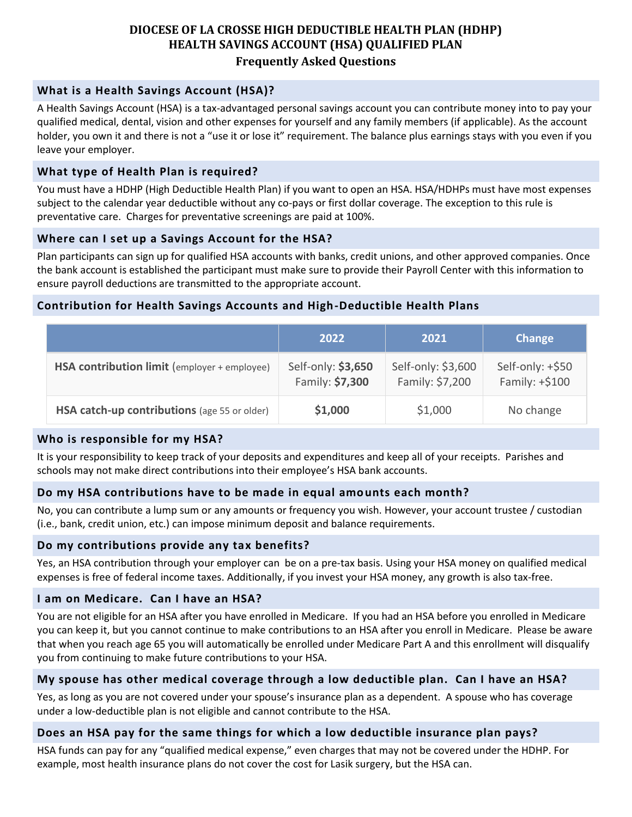# **DIOCESE OF LA CROSSE HIGH DEDUCTIBLE HEALTH PLAN (HDHP) HEALTH SAVINGS ACCOUNT (HSA) QUALIFIED PLAN Frequently Asked Questions**

### **What is a Health Savings Account (HSA)?**

A Health Savings Account (HSA) is a tax-advantaged personal savings account you can contribute money into to pay your qualified medical, dental, vision and other expenses for yourself and any family members (if applicable). As the account holder, you own it and there is not a "use it or lose it" requirement. The balance plus earnings stays with you even if you leave your employer.

### **What type of Health Plan is required?**

You must have a HDHP (High Deductible Health Plan) if you want to open an HSA. HSA/HDHPs must have most expenses subject to the calendar year deductible without any co-pays or first dollar coverage. The exception to this rule is preventative care. Charges for preventative screenings are paid at 100%.

### **Where can I set up a Savings Account for the HSA?**

Plan participants can sign up for qualified HSA accounts with banks, credit unions, and other approved companies. Once the bank account is established the participant must make sure to provide their Payroll Center with this information to ensure payroll deductions are transmitted to the appropriate account.

### **Contribution for Health Savings Accounts and High-Deductible Health Plans**

|                                              | 2022                                  | 2021                                  | Change                             |
|----------------------------------------------|---------------------------------------|---------------------------------------|------------------------------------|
| HSA contribution limit (employer + employee) | Self-only: \$3,650<br>Family: \$7,300 | Self-only: \$3,600<br>Family: \$7,200 | Self-only: +\$50<br>Family: +\$100 |
| HSA catch-up contributions (age 55 or older) | \$1,000                               | \$1,000                               | No change                          |

## **Who is responsible for my HSA?**

It is your responsibility to keep track of your deposits and expenditures and keep all of your receipts. Parishes and schools may not make direct contributions into their employee's HSA bank accounts.

## **Do my HSA contributions have to be made in equal amounts each month?**

No, you can contribute a lump sum or any amounts or frequency you wish. However, your account trustee / custodian (i.e., bank, credit union, etc.) can impose minimum deposit and balance requirements.

#### **Do my contributions provide any tax benefits?**

Yes, an HSA contribution through your employer can be on a pre-tax basis. Using your HSA money on qualified medical expenses is free of federal income taxes. Additionally, if you invest your HSA money, any growth is also tax-free.

#### **I am on Medicare. Can I have an HSA?**

You are not eligible for an HSA after you have enrolled in Medicare. If you had an HSA before you enrolled in Medicare you can keep it, but you cannot continue to make contributions to an HSA after you enroll in Medicare. Please be aware that when you reach age 65 you will automatically be enrolled under Medicare Part A and this enrollment will disqualify you from continuing to make future contributions to your HSA.

#### **My spouse has other medical coverage through a low deductible plan. Can I have an HSA?**

Yes, as long as you are not covered under your spouse's insurance plan as a dependent. A spouse who has coverage under a low-deductible plan is not eligible and cannot contribute to the HSA.

#### **Does an HSA pay for the same things for which a low deductible insurance plan pays?**

HSA funds can pay for any "qualified medical expense," even charges that may not be covered under the HDHP. For example, most health insurance plans do not cover the cost for Lasik surgery, but the HSA can.